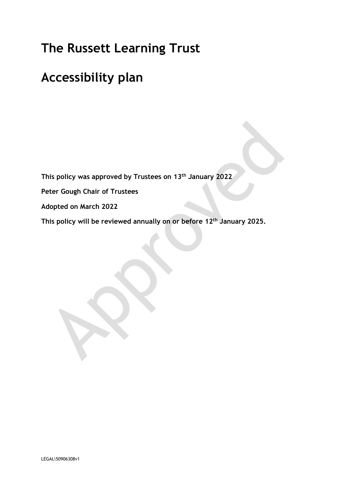# **The Russett Learning Trust**

## **Accessibility plan**

**This policy was approved by Trustees on 13th January 2022**

**Peter Gough Chair of Trustees**

**Adopted on March 2022**

**This policy will be reviewed annually on or before 12th January 2025.**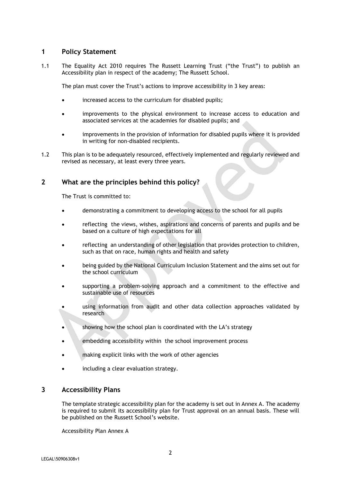#### **1 Policy Statement**

1.1 The Equality Act 2010 requires The Russett Learning Trust ("the Trust") to publish an Accessibility plan in respect of the academy; The Russett School.

The plan must cover the Trust's actions to improve accessibility in 3 key areas:

- increased access to the curriculum for disabled pupils;
- improvements to the physical environment to increase access to education and associated services at the academies for disabled pupils; and
- improvements in the provision of information for disabled pupils where it is provided in writing for non-disabled recipients.
- 1.2 This plan is to be adequately resourced, effectively implemented and regularly reviewed and revised as necessary, at least every three years.

### **2 What are the principles behind this policy?**

The Trust is committed to:

- demonstrating a commitment to developing access to the school for all pupils
- reflecting the views, wishes, aspirations and concerns of parents and pupils and be based on a culture of high expectations for all
- reflecting an understanding of other legislation that provides protection to children, such as that on race, human rights and health and safety
- being guided by the National Curriculum Inclusion Statement and the aims set out for the school curriculum
- supporting a problem-solving approach and a commitment to the effective and sustainable use of resources
- using information from audit and other data collection approaches validated by research
- showing how the school plan is coordinated with the LA's strategy
- embedding accessibility within the school improvement process
- making explicit links with the work of other agencies
- including a clear evaluation strategy.

#### **3 Accessibility Plans**

The template strategic accessibility plan for the academy is set out in Annex A. The academy is required to submit its accessibility plan for Trust approval on an annual basis. These will be published on the Russett School's website.

Accessibility Plan Annex A